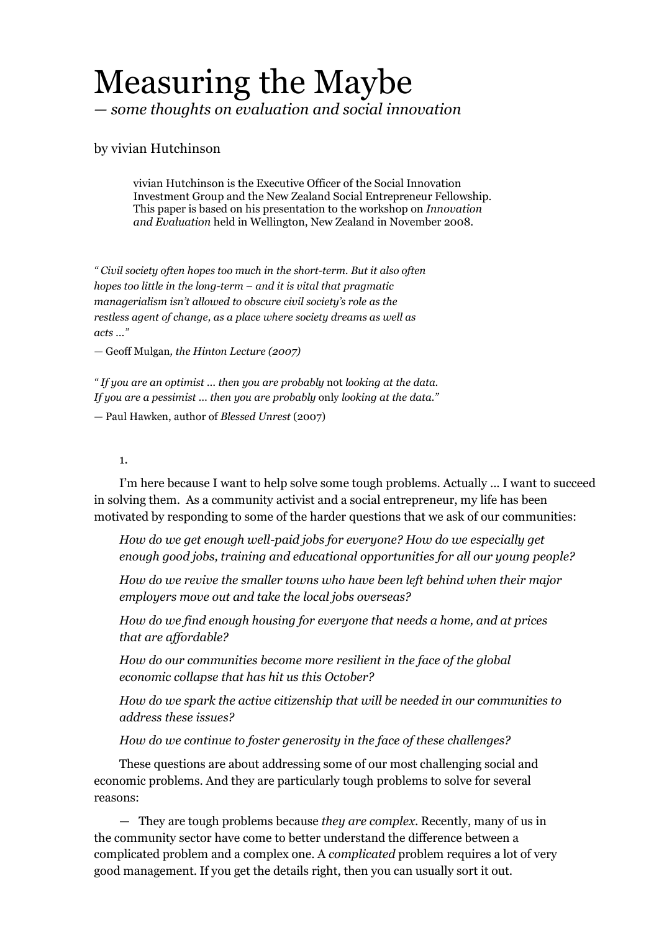# Measuring the Maybe *— some thoughts on evaluation and social innovation*

## by vivian Hutchinson

vivian Hutchinson is the Executive Officer of the Social Innovation Investment Group and the New Zealand Social Entrepreneur Fellowship. This paper is based on his presentation to the workshop on *Innovation and Evaluation* held in Wellington, New Zealand in November 2008.

*" Civil society often hopes too much in the shortterm. But it also often hopes too little in the long-term – and it is vital that pragmatic managerialism isn't allowed to obscure civil society's role as the restless agent of change, as a place where society dreams as well as acts ..."*

*—* Geoff Mulgan*, the Hinton Lecture (2007)* 

*" If you are an optimist ... then you are probably* not *looking at the data. If you are a pessimist ... then you are probably* only *looking at the data."*

— Paul Hawken, author of *Blessed Unrest* (2007)

#### 1.

I'm here because I want to help solve some tough problems. Actually ... I want to succeed in solving them. As a community activist and a social entrepreneur, my life has been motivated by responding to some of the harder questions that we ask of our communities:

*How do we get enough well-paid jobs for everyone? How do we especially get enough good jobs, training and educational opportunities for all our young people?* 

*How do we revive the smaller towns who have been left behind when their major employers move out and take the local jobs overseas?* 

*How do we find enough housing for everyone that needs a home, and at prices that are affordable?* 

*How do our communities become more resilient in the face of the global economic collapse that has hit us this October?* 

*How do we spark the active citizenship that will be needed in our communities to address these issues?* 

*How do we continue to foster generosity in the face of these challenges?*

These questions are about addressing some of our most challenging social and economic problems. And they are particularly tough problems to solve for several reasons:

— They are tough problems because *they are complex*. Recently, many of us in the community sector have come to better understand the difference between a complicated problem and a complex one. A *complicated* problem requires a lot of very good management. If you get the details right, then you can usually sort it out.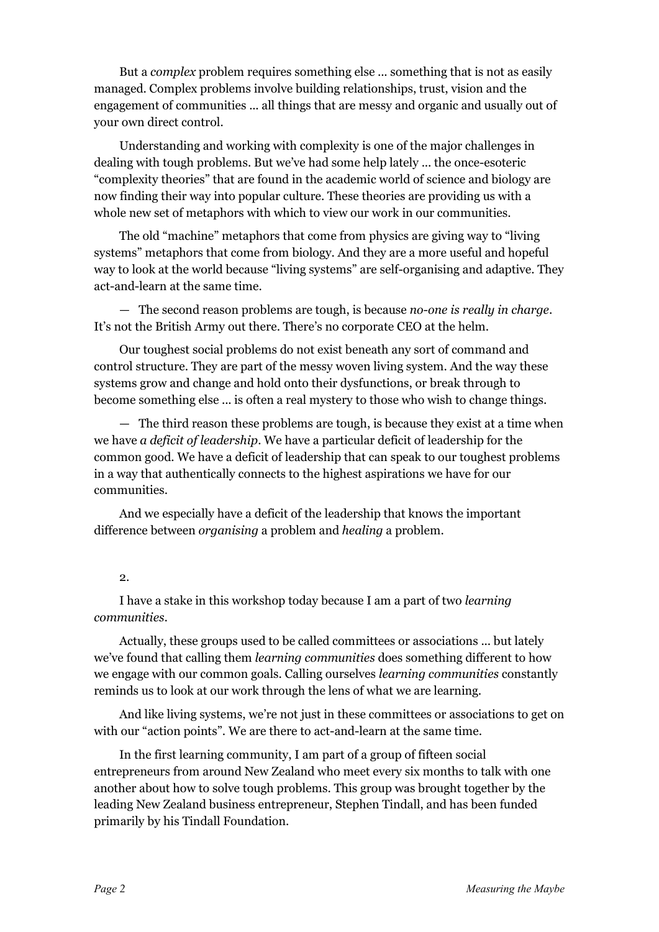But a *complex* problem requires something else ... something that is not as easily managed. Complex problems involve building relationships, trust, vision and the engagement of communities ... all things that are messy and organic and usually out of your own direct control.

Understanding and working with complexity is one of the major challenges in dealing with tough problems. But we've had some help lately ... the once-esoteric "complexity theories" that are found in the academic world of science and biology are now finding their way into popular culture. These theories are providing us with a whole new set of metaphors with which to view our work in our communities.

The old "machine" metaphors that come from physics are giving way to "living systems" metaphors that come from biology. And they are a more useful and hopeful way to look at the world because "living systems" are self-organising and adaptive. They act-and-learn at the same time.

— The second reason problems are tough, is because *no-one is really in charge*. It's not the British Army out there. There's no corporate CEO at the helm.

Our toughest social problems do not exist beneath any sort of command and control structure. They are part of the messy woven living system. And the way these systems grow and change and hold onto their dysfunctions, or break through to become something else ... is often a real mystery to those who wish to change things.

— The third reason these problems are tough, is because they exist at a time when we have *a deficit of leadership*. We have a particular deficit of leadership for the common good. We have a deficit of leadership that can speak to our toughest problems in a way that authentically connects to the highest aspirations we have for our communities.

And we especially have a deficit of the leadership that knows the important difference between *organising* a problem and *healing* a problem.

#### 2.

I have a stake in this workshop today because I am a part of two *learning communities.*

Actually, these groups used to be called committees or associations ... but lately we've found that calling them *learning communities* does something different to how we engage with our common goals. Calling ourselves *learning communities* constantly reminds us to look at our work through the lens of what we are learning.

And like living systems, we're not just in these committees or associations to get on with our "action points". We are there to act-and-learn at the same time.

In the first learning community, I am part of a group of fifteen social entrepreneurs from around New Zealand who meet every six months to talk with one another about how to solve tough problems. This group was brought together by the leading New Zealand business entrepreneur, Stephen Tindall, and has been funded primarily by his Tindall Foundation.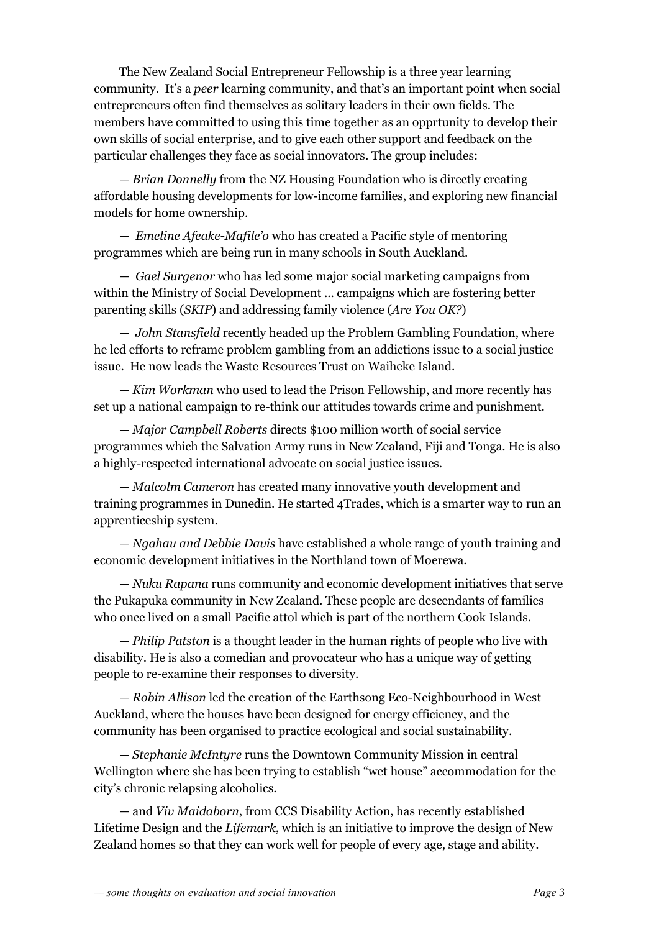The New Zealand Social Entrepreneur Fellowship is a three year learning community. It's a *peer* learning community, and that's an important point when social entrepreneurs often find themselves as solitary leaders in their own fields. The members have committed to using this time together as an opprtunity to develop their own skills of social enterprise, and to give each other support and feedback on the particular challenges they face as social innovators. The group includes:

— *Brian Donnelly* from the NZ Housing Foundation who is directly creating affordable housing developments for lowincome families, and exploring new financial models for home ownership.

— *Emeline Afeake-Mafile'o* who has created a Pacific style of mentoring programmes which are being run in many schools in South Auckland.

— *Gael Surgenor* who has led some major social marketing campaigns from within the Ministry of Social Development ... campaigns which are fostering better parenting skills (*SKIP*) and addressing family violence (*Are You OK?*)

— *John Stansfield* recently headed up the Problem Gambling Foundation, where he led efforts to reframe problem gambling from an addictions issue to a social justice issue. He now leads the Waste Resources Trust on Waiheke Island.

— *Kim Workman* who used to lead the Prison Fellowship, and more recently has set up a national campaign to re-think our attitudes towards crime and punishment.

— *Major Campbell Roberts* directs \$100 million worth of social service programmes which the Salvation Army runs in New Zealand, Fiji and Tonga. He is also a highly-respected international advocate on social justice issues.

— *Malcolm Cameron* has created many innovative youth development and training programmes in Dunedin. He started 4Trades, which is a smarter way to run an apprenticeship system.

— *Ngahau and Debbie Davis* have established a whole range of youth training and economic development initiatives in the Northland town of Moerewa.

— *Nuku Rapana* runs community and economic development initiatives that serve the Pukapuka community in New Zealand. These people are descendants of families who once lived on a small Pacific attol which is part of the northern Cook Islands.

— *Philip Patston* is a thought leader in the human rights of people who live with disability. He is also a comedian and provocateur who has a unique way of getting people to re-examine their responses to diversity.

— *Robin Allison* led the creation of the Earthsong Eco-Neighbourhood in West Auckland, where the houses have been designed for energy efficiency, and the community has been organised to practice ecological and social sustainability.

— *Stephanie McIntyre* runs the Downtown Community Mission in central Wellington where she has been trying to establish "wet house" accommodation for the city's chronic relapsing alcoholics.

— and *Viv Maidaborn*, from CCS Disability Action, has recently established Lifetime Design and the *Lifemark*, which is an initiative to improve the design of New Zealand homes so that they can work well for people of every age, stage and ability.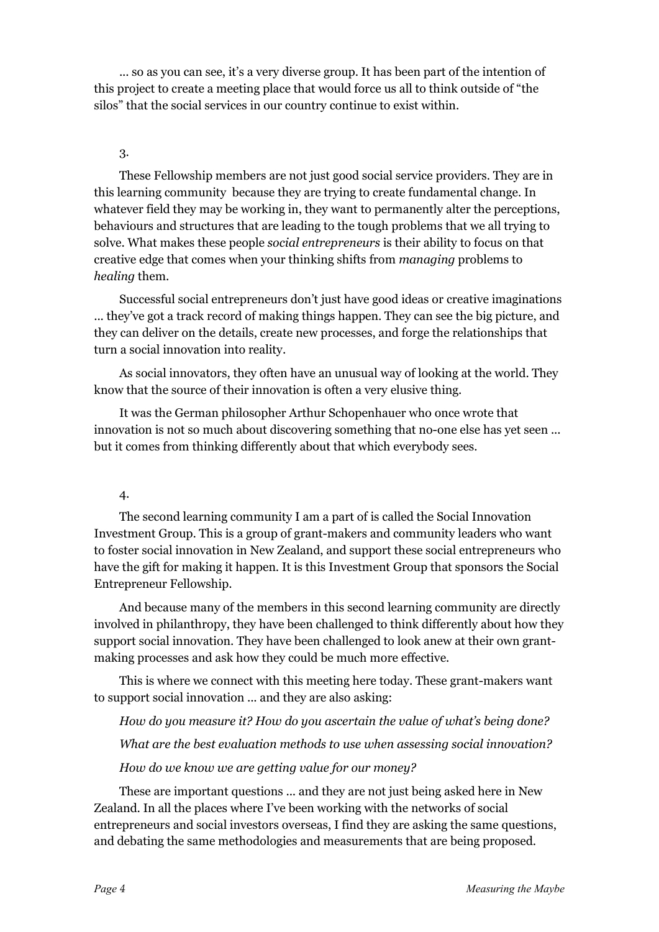... so as you can see, it's a very diverse group. It has been part of the intention of this project to create a meeting place that would force us all to think outside of "the silos" that the social services in our country continue to exist within.

#### 3.

These Fellowship members are not just good social service providers. They are in this learning community because they are trying to create fundamental change. In whatever field they may be working in, they want to permanently alter the perceptions, behaviours and structures that are leading to the tough problems that we all trying to solve. What makes these people *social entrepreneurs* is their ability to focus on that creative edge that comes when your thinking shifts from *managing* problems to *healing* them.

Successful social entrepreneurs don't just have good ideas or creative imaginations ... they've got a track record of making things happen. They can see the big picture, and they can deliver on the details, create new processes, and forge the relationships that turn a social innovation into reality.

As social innovators, they often have an unusual way of looking at the world. They know that the source of their innovation is often a very elusive thing.

It was the German philosopher Arthur Schopenhauer who once wrote that innovation is not so much about discovering something that no-one else has yet seen ... but it comes from thinking differently about that which everybody sees.

### 4.

The second learning community I am a part of is called the Social Innovation Investment Group. This is a group of grant-makers and community leaders who want to foster social innovation in New Zealand, and support these social entrepreneurs who have the gift for making it happen. It is this Investment Group that sponsors the Social Entrepreneur Fellowship.

And because many of the members in this second learning community are directly involved in philanthropy, they have been challenged to think differently about how they support social innovation. They have been challenged to look anew at their own grantmaking processes and ask how they could be much more effective.

This is where we connect with this meeting here today. These grant-makers want to support social innovation ... and they are also asking:

*How do you measure it? How do you ascertain the value of what's being done? What are the best evaluation methods to use when assessing social innovation? How do we know we are getting value for our money?*

These are important questions ... and they are not just being asked here in New Zealand. In all the places where I've been working with the networks of social entrepreneurs and social investors overseas, I find they are asking the same questions, and debating the same methodologies and measurements that are being proposed.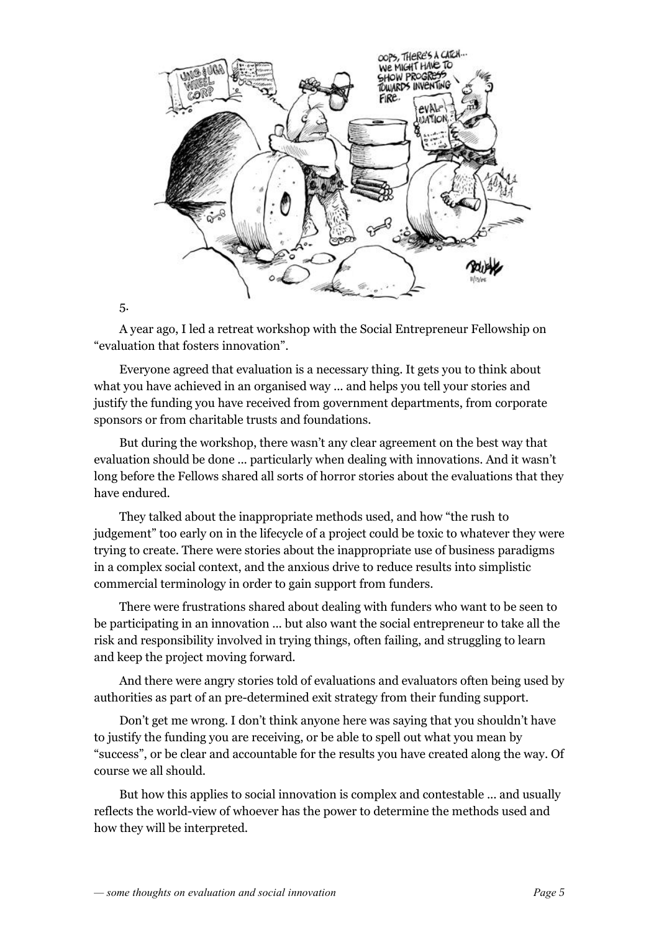

A year ago, I led a retreat workshop with the Social Entrepreneur Fellowship on "evaluation that fosters innovation".

Everyone agreed that evaluation is a necessary thing. It gets you to think about what you have achieved in an organised way ... and helps you tell your stories and justify the funding you have received from government departments, from corporate sponsors or from charitable trusts and foundations.

But during the workshop, there wasn't any clear agreement on the best way that evaluation should be done ... particularly when dealing with innovations. And it wasn't long before the Fellows shared all sorts of horror stories about the evaluations that they have endured.

They talked about the inappropriate methods used, and how "the rush to judgement" too early on in the lifecycle of a project could be toxic to whatever they were trying to create. There were stories about the inappropriate use of business paradigms in a complex social context, and the anxious drive to reduce results into simplistic commercial terminology in order to gain support from funders.

There were frustrations shared about dealing with funders who want to be seen to be participating in an innovation ... but also want the social entrepreneur to take all the risk and responsibility involved in trying things, often failing, and struggling to learn and keep the project moving forward.

And there were angry stories told of evaluations and evaluators often being used by authorities as part of an pre-determined exit strategy from their funding support.

Don't get me wrong. I don't think anyone here was saying that you shouldn't have to justify the funding you are receiving, or be able to spell out what you mean by "success", or be clear and accountable for the results you have created along the way. Of course we all should.

But how this applies to social innovation is complex and contestable ... and usually reflects the world-view of whoever has the power to determine the methods used and how they will be interpreted.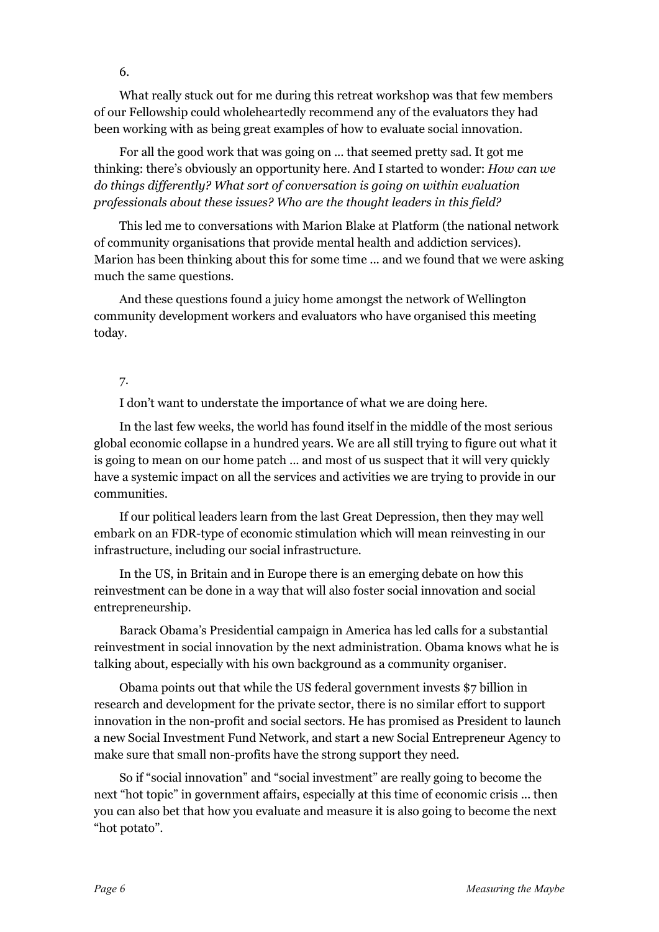What really stuck out for me during this retreat workshop was that few members of our Fellowship could wholeheartedly recommend any of the evaluators they had been working with as being great examples of how to evaluate social innovation.

For all the good work that was going on ... that seemed pretty sad. It got me thinking: there's obviously an opportunity here. And I started to wonder: *How can we do things differently? What sort of conversation is going on within evaluation professionals about these issues? Who are the thought leaders in this field?*

This led me to conversations with Marion Blake at Platform (the national network of community organisations that provide mental health and addiction services). Marion has been thinking about this for some time ... and we found that we were asking much the same questions.

And these questions found a juicy home amongst the network of Wellington community development workers and evaluators who have organised this meeting today.

## 7.

I don't want to understate the importance of what we are doing here.

In the last few weeks, the world has found itself in the middle of the most serious global economic collapse in a hundred years. We are all still trying to figure out what it is going to mean on our home patch ... and most of us suspect that it will very quickly have a systemic impact on all the services and activities we are trying to provide in our communities.

If our political leaders learn from the last Great Depression, then they may well embark on an FDR-type of economic stimulation which will mean reinvesting in our infrastructure, including our social infrastructure.

In the US, in Britain and in Europe there is an emerging debate on how this reinvestment can be done in a way that will also foster social innovation and social entrepreneurship.

Barack Obama's Presidential campaign in America has led calls for a substantial reinvestment in social innovation by the next administration. Obama knows what he is talking about, especially with his own background as a community organiser.

Obama points out that while the US federal government invests \$7 billion in research and development for the private sector, there is no similar effort to support innovation in the non-profit and social sectors. He has promised as President to launch a new Social Investment Fund Network, and start a new Social Entrepreneur Agency to make sure that small non-profits have the strong support they need.

So if "social innovation" and "social investment" are really going to become the next "hot topic" in government affairs, especially at this time of economic crisis ... then you can also bet that how you evaluate and measure it is also going to become the next "hot potato".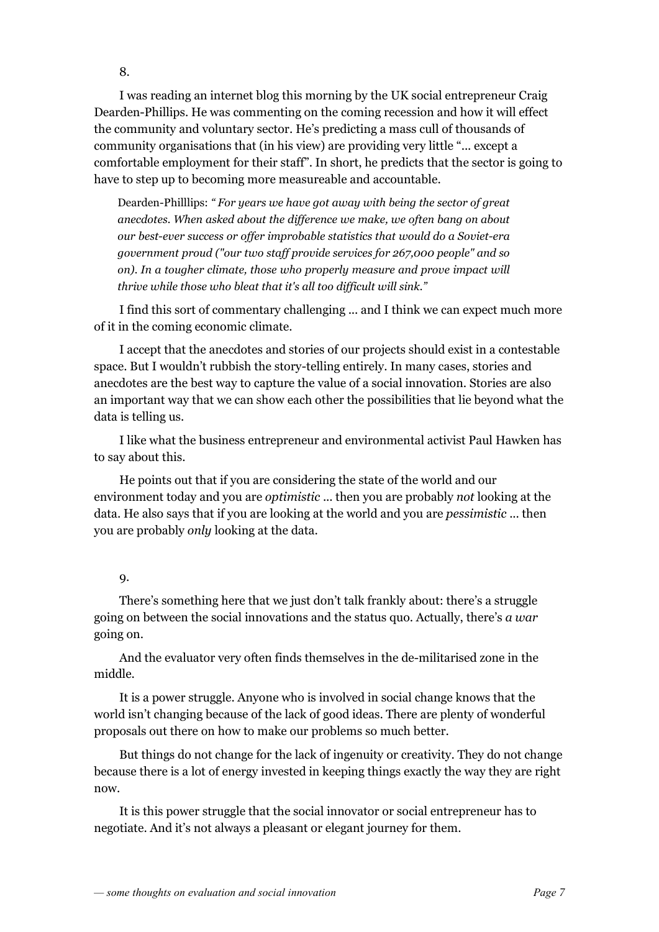I was reading an internet blog this morning by the UK social entrepreneur Craig Dearden-Phillips. He was commenting on the coming recession and how it will effect the community and voluntary sector. He's predicting a mass cull of thousands of community organisations that (in his view) are providing very little "... except a comfortable employment for their staff". In short, he predicts that the sector is going to have to step up to becoming more measureable and accountable.

Dearden-Philllips: "*For years we have got away with being the sector of great anecdotes. When asked about the difference we make, we often bang on about our best-ever success or offer improbable statistics that would do a Soviet-era government proud ("our two staff provide services for 267,000 people" and so on). In a tougher climate, those who properly measure and prove impact will thrive while those who bleat that it's all too difficult will sink."*

I find this sort of commentary challenging ... and I think we can expect much more of it in the coming economic climate.

I accept that the anecdotes and stories of our projects should exist in a contestable space. But I wouldn't rubbish the story-telling entirely. In many cases, stories and anecdotes are the best way to capture the value of a social innovation. Stories are also an important way that we can show each other the possibilities that lie beyond what the data is telling us.

I like what the business entrepreneur and environmental activist Paul Hawken has to say about this.

He points out that if you are considering the state of the world and our environment today and you are *optimistic* ... then you are probably *not* looking at the data. He also says that if you are looking at the world and you are *pessimistic* ... then you are probably *only* looking at the data.

### 9.

There's something here that we just don't talk frankly about: there's a struggle going on between the social innovations and the status quo. Actually, there's *a war* going on.

And the evaluator very often finds themselves in the demilitarised zone in the middle.

It is a power struggle. Anyone who is involved in social change knows that the world isn't changing because of the lack of good ideas. There are plenty of wonderful proposals out there on how to make our problems so much better.

But things do not change for the lack of ingenuity or creativity. They do not change because there is a lot of energy invested in keeping things exactly the way they are right now.

It is this power struggle that the social innovator or social entrepreneur has to negotiate. And it's not always a pleasant or elegant journey for them.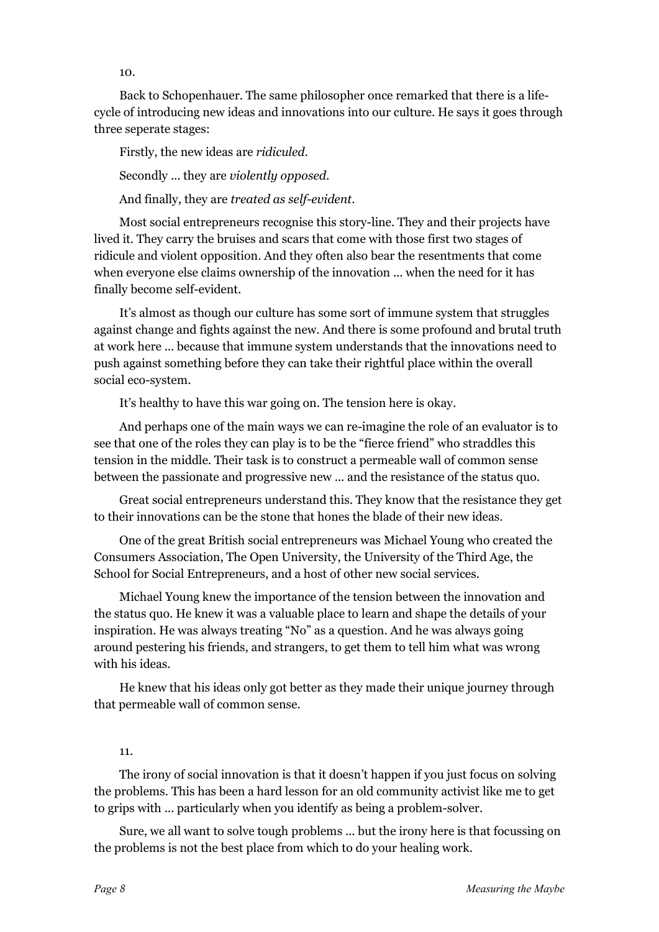Back to Schopenhauer. The same philosopher once remarked that there is a lifecycle of introducing new ideas and innovations into our culture. He says it goes through three seperate stages:

Firstly, the new ideas are *ridiculed*. Secondly ... they are *violently opposed*. And finally, they are *treated as self-evident*.

Most social entrepreneurs recognise this story-line. They and their projects have lived it. They carry the bruises and scars that come with those first two stages of ridicule and violent opposition. And they often also bear the resentments that come when everyone else claims ownership of the innovation ... when the need for it has finally become self-evident.

It's almost as though our culture has some sort of immune system that struggles against change and fights against the new. And there is some profound and brutal truth at work here ... because that immune system understands that the innovations need to push against something before they can take their rightful place within the overall social eco-system.

It's healthy to have this war going on. The tension here is okay.

And perhaps one of the main ways we can re-imagine the role of an evaluator is to see that one of the roles they can play is to be the "fierce friend" who straddles this tension in the middle. Their task is to construct a permeable wall of common sense between the passionate and progressive new ... and the resistance of the status quo.

Great social entrepreneurs understand this. They know that the resistance they get to their innovations can be the stone that hones the blade of their new ideas.

One of the great British social entrepreneurs was Michael Young who created the Consumers Association, The Open University, the University of the Third Age, the School for Social Entrepreneurs, and a host of other new social services.

Michael Young knew the importance of the tension between the innovation and the status quo. He knew it was a valuable place to learn and shape the details of your inspiration. He was always treating "No" as a question. And he was always going around pestering his friends, and strangers, to get them to tell him what was wrong with his ideas.

He knew that his ideas only got better as they made their unique journey through that permeable wall of common sense.

#### 11.

The irony of social innovation is that it doesn't happen if you just focus on solving the problems. This has been a hard lesson for an old community activist like me to get to grips with ... particularly when you identify as being a problem-solver.

Sure, we all want to solve tough problems ... but the irony here is that focussing on the problems is not the best place from which to do your healing work.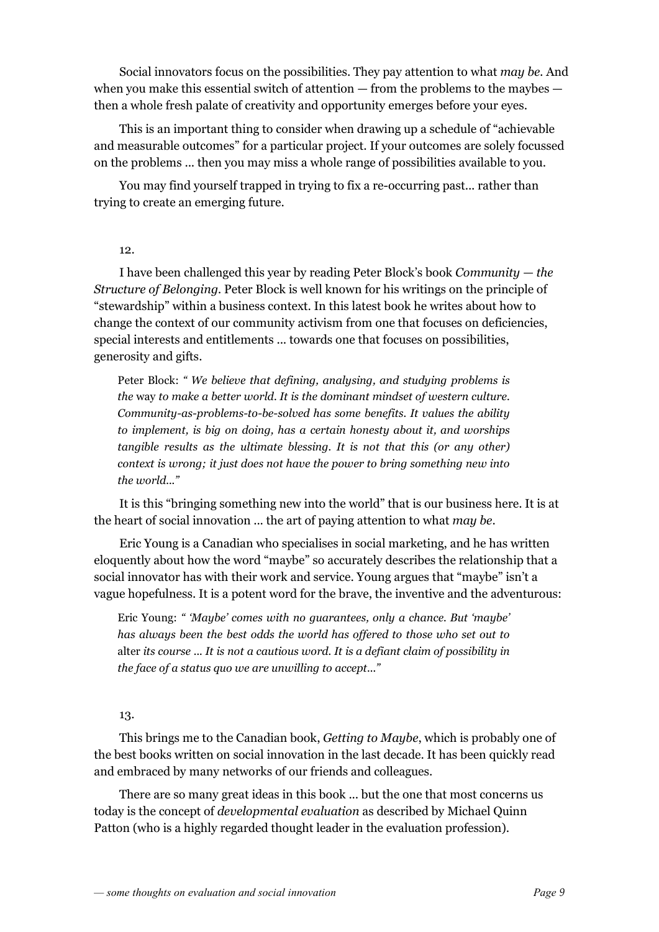Social innovators focus on the possibilities. They pay attention to what *may be.* And when you make this essential switch of attention — from the problems to the maybes then a whole fresh palate of creativity and opportunity emerges before your eyes.

This is an important thing to consider when drawing up a schedule of "achievable and measurable outcomes" for a particular project. If your outcomes are solely focussed on the problems ... then you may miss a whole range of possibilities available to you.

You may find yourself trapped in trying to fix a re-occurring past... rather than trying to create an emerging future.

### 12.

I have been challenged this year by reading Peter Block's book *Community — the Structure of Belonging.* Peter Block is well known for his writings on the principle of "stewardship" within a business context. In this latest book he writes about how to change the context of our community activism from one that focuses on deficiencies, special interests and entitlements ... towards one that focuses on possibilities, generosity and gifts.

Peter Block: *" We believe that defining, analysing, and studying problems is the* way *to make a better world. It is the dominant mindset of western culture. Community-as-problems-to-be-solved has some benefits. It values the ability to implement, is big on doing, has a certain honesty about it, and worships tangible results as the ultimate blessing. It is not that this (or any other) context is wrong; it just does not have the power to bring something new into the world..."*

It is this "bringing something new into the world" that is our business here. It is at the heart of social innovation ... the art of paying attention to what *may be*.

Eric Young is a Canadian who specialises in social marketing, and he has written eloquently about how the word "maybe" so accurately describes the relationship that a social innovator has with their work and service. Young argues that "maybe" isn't a vague hopefulness. It is a potent word for the brave, the inventive and the adventurous:

Eric Young: *" 'Maybe' comes with no guarantees, only a chance. But 'maybe' has always been the best odds the world has offered to those who set out to* alter *its course ... It is not a cautious word. It is a defiant claim of possibility in the face of a status quo we are unwilling to accept..."*

### 13.

This brings me to the Canadian book, *Getting to Maybe*, which is probably one of the best books written on social innovation in the last decade. It has been quickly read and embraced by many networks of our friends and colleagues.

There are so many great ideas in this book ... but the one that most concerns us today is the concept of *developmental evaluation* as described by Michael Quinn Patton (who is a highly regarded thought leader in the evaluation profession).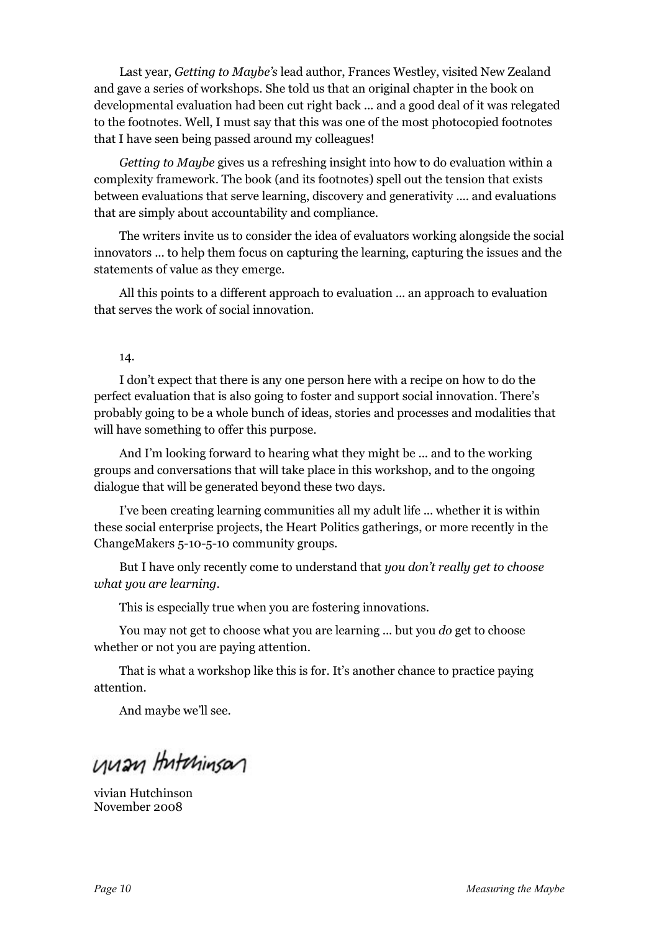Last year, *Getting to Maybe's* lead author, Frances Westley, visited New Zealand and gave a series of workshops. She told us that an original chapter in the book on developmental evaluation had been cut right back ... and a good deal of it was relegated to the footnotes. Well, I must say that this was one of the most photocopied footnotes that I have seen being passed around my colleagues!

*Getting to Maybe* gives us a refreshing insight into how to do evaluation within a complexity framework. The book (and its footnotes) spell out the tension that exists between evaluations that serve learning, discovery and generativity .... and evaluations that are simply about accountability and compliance.

The writers invite us to consider the idea of evaluators working alongside the social innovators ... to help them focus on capturing the learning, capturing the issues and the statements of value as they emerge.

All this points to a different approach to evaluation ... an approach to evaluation that serves the work of social innovation.

14.

I don't expect that there is any one person here with a recipe on how to do the perfect evaluation that is also going to foster and support social innovation. There's probably going to be a whole bunch of ideas, stories and processes and modalities that will have something to offer this purpose.

And I'm looking forward to hearing what they might be ... and to the working groups and conversations that will take place in this workshop, and to the ongoing dialogue that will be generated beyond these two days.

I've been creating learning communities all my adult life ... whether it is within these social enterprise projects, the Heart Politics gatherings, or more recently in the ChangeMakers 5-10-5-10 community groups.

But I have only recently come to understand that *you don't really get to choose what you are learning*.

This is especially true when you are fostering innovations.

You may not get to choose what you are learning ... but you *do* get to choose whether or not you are paying attention.

That is what a workshop like this is for. It's another chance to practice paying attention.

And maybe we'll see.

unan Hutchinson

vivian Hutchinson November 2008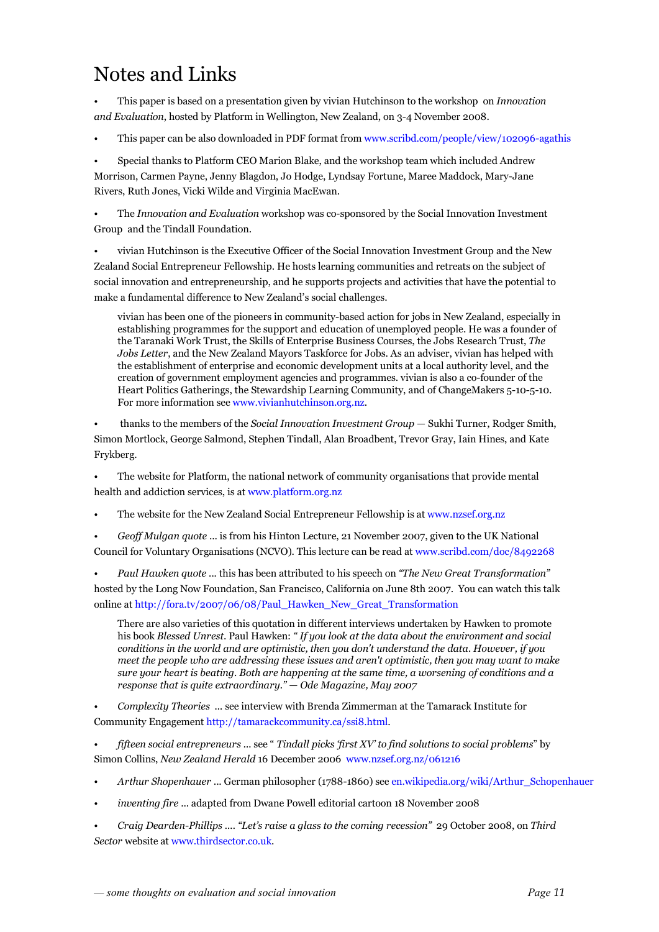## Notes and Links

• This paper is based on a presentation given by vivian Hutchinson to the workshop on *Innovation and Evaluation*, hosted by Platform in Wellington, New Zealand, on 3-4 November 2008.

This paper can be also downloaded in PDF format from www.scribd.com/people/view/102096-agathis

• Special thanks to Platform CEO Marion Blake, and the workshop team which included Andrew Morrison, Carmen Payne, Jenny Blagdon, Jo Hodge, Lyndsay Fortune, Maree Maddock, MaryJane Rivers, Ruth Jones, Vicki Wilde and Virginia MacEwan.

• The *Innovation and Evaluation* workshop was cosponsored by the Social Innovation Investment Group and the Tindall Foundation.

• vivian Hutchinson is the Executive Officer of the Social Innovation Investment Group and the New Zealand Social Entrepreneur Fellowship. He hosts learning communities and retreats on the subject of social innovation and entrepreneurship, and he supports projects and activities that have the potential to make a fundamental difference to New Zealand's social challenges.

vivian has been one of the pioneers in communitybased action for jobs in New Zealand, especially in establishing programmes for the support and education of unemployed people. He was a founder of the Taranaki Work Trust, the Skills of Enterprise Business Courses, the Jobs Research Trust, *The Jobs Letter*, and the New Zealand Mayors Taskforce for Jobs. As an adviser, vivian has helped with the establishment of enterprise and economic development units at a local authority level, and the creation of government employment agencies and programmes. vivian is also a co-founder of the Heart Politics Gatherings, the Stewardship Learning Community, and of ChangeMakers 5-10-5-10. For more information see www.vivianhutchinson.org.nz.

• thanks to the members of the *Social Innovation Investment Group* — Sukhi Turner, Rodger Smith, Simon Mortlock, George Salmond, Stephen Tindall, Alan Broadbent, Trevor Gray, Iain Hines, and Kate Frykberg.

• The website for Platform, the national network of community organisations that provide mental health and addiction services, is at www.platform.org.nz

• The website for the New Zealand Social Entrepreneur Fellowship is at www.nzsef.org.nz

• *Geof Mulgan quote* ... is from his Hinton Lecture, 21 November 2007, given to the UK National Council for Voluntary Organisations (NCVO). This lecture can be read at www.scribd.com/doc/8492268

• *Paul Hawken quote ...* this has been attributed to his speech on *"The New Great Transformation"* hosted by the Long Now Foundation, San Francisco, California on June 8th 2007. You can watch this talk online at http://fora.tv/2007/06/08/Paul\_Hawken\_New\_Great\_Transformation

There are also varieties of this quotation in different interviews undertaken by Hawken to promote his book *Blessed Unrest*. Paul Hawken: *" If you look at the data about the environment and social conditions in the world and are optimistic, then you don't understand the data. However, if you meet the people who are addressing these issues and aren't optimistic, then you may want to make sure your heart is beating. Both are happening at the same time, a worsening of conditions and a response that is quite extraordinary." — Ode Magazine, May 2007*

• *Complexity Theories ...* see interview with Brenda Zimmerman at the Tamarack Institute for Community Engagement http://tamarackcommunity.ca/ssi8.html.

• *fifteen social entrepreneurs ...* see " *Tindall picks 'first XV' to find solutions to social problems*" by Simon Collins, *New Zealand Herald* 16 December 2006 www.nzsef.org.nz/061216

- *Arthur Shopenhauer* ... German philosopher (1788-1860) see en.wikipedia.org/wiki/Arthur\_Schopenhauer
- *inventing fire* ... adapted from Dwane Powell editorial cartoon 18 November 2008
- *Craig DeardenPhillips .... "Let's raise a glass to the coming recession"* 29 October 2008, on *Third Sector* website at www.thirdsector.co.uk.